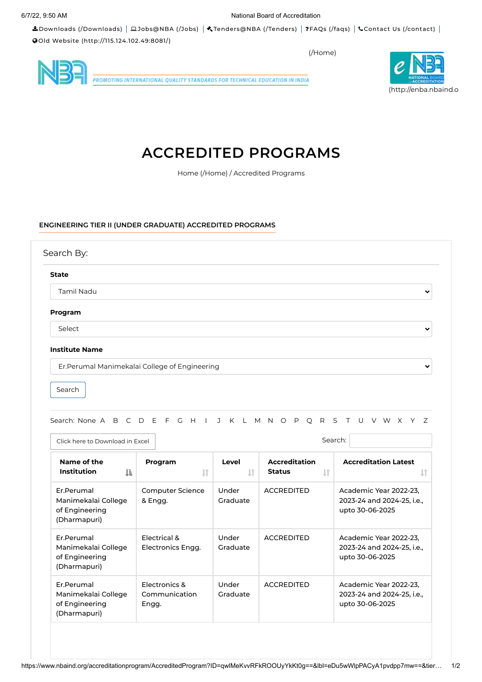Downloads [\(/Downloads\)](https://www.nbaind.org/Downloads) [Jobs@NBA](https://www.nbaind.org/Jobs) (/Jobs) [Tenders@NBA](https://www.nbaind.org/Tenders) (/Tenders) FAQs [\(/faqs\)](https://www.nbaind.org/faqs) Contact Us [\(/contact\)](https://www.nbaind.org/contact) Old Website [\(http://115.124.102.49:8081/\)](http://115.124.102.49:8081/)

[\(/Home\)](https://www.nbaind.org/Home)



.<br>PROMOTING INTERNATIONAL QUALITY STANDARDS FOR TECHNICAL EDUCATION IN INDIA

# **ACCREDITED PROGRAMS**

Home [\(/Home\)](https://www.nbaind.org/Home) / Accredited Programs

### **ENGINEERING TIER II (UNDER GRADUATE) ACCREDITED PROGRAMS**

| <b>State</b>      |              |
|-------------------|--------------|
| <b>Tamil Nadu</b> | $\checkmark$ |
| Program           |              |
| Select            | $\checkmark$ |

Search

Search: None A B C D E F G H I J K L M N O P Q R S T U V W X Y Z

| Click here to Download in Excel                                     |                                         | Search:           |                                                       |                                                                         |  |  |  |
|---------------------------------------------------------------------|-----------------------------------------|-------------------|-------------------------------------------------------|-------------------------------------------------------------------------|--|--|--|
| Name of the<br><b>Institution</b><br>TF.                            | Program<br>$\downarrow$ î               | Level<br>1Ť       | <b>Accreditation</b><br>$\downarrow$<br><b>Status</b> | <b>Accreditation Latest</b>                                             |  |  |  |
| Er.Perumal<br>Manimekalai College<br>of Engineering<br>(Dharmapuri) | Computer Science<br>& Engg.             | Under<br>Graduate | <b>ACCREDITED</b>                                     | Academic Year 2022-23,<br>2023-24 and 2024-25, i.e.,<br>upto 30-06-2025 |  |  |  |
| Er.Perumal<br>Manimekalai College<br>of Engineering<br>(Dharmapuri) | Electrical &<br>Electronics Engg.       | Under<br>Graduate | <b>ACCREDITED</b>                                     | Academic Year 2022-23.<br>2023-24 and 2024-25, i.e.,<br>upto 30-06-2025 |  |  |  |
| Er.Perumal<br>Manimekalai College<br>of Engineering<br>(Dharmapuri) | Electronics &<br>Communication<br>Engg. | Under<br>Graduate | <b>ACCREDITED</b>                                     | Academic Year 2022-23,<br>2023-24 and 2024-25, i.e.,<br>upto 30-06-2025 |  |  |  |